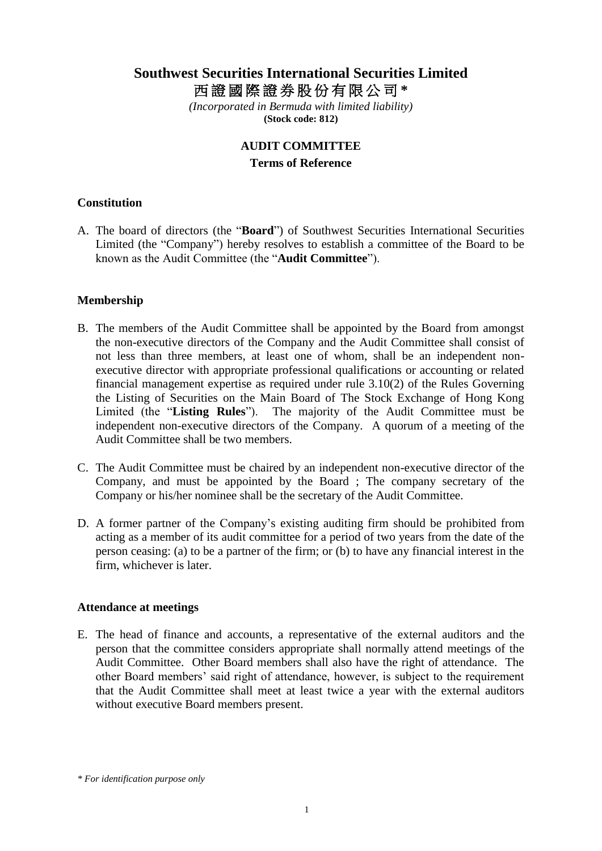# **Southwest Securities International Securities Limited** 西 證 國 際 證 券 股 份 有 限 公 司 **\***

*(Incorporated in Bermuda with limited liability)* **(Stock code: 812)**

#### **AUDIT COMMITTEE**

#### **Terms of Reference**

## **Constitution**

A. The board of directors (the "**Board**") of Southwest Securities International Securities Limited (the "Company") hereby resolves to establish a committee of the Board to be known as the Audit Committee (the "**Audit Committee**").

# **Membership**

- B. The members of the Audit Committee shall be appointed by the Board from amongst the non-executive directors of the Company and the Audit Committee shall consist of not less than three members, at least one of whom, shall be an independent nonexecutive director with appropriate professional qualifications or accounting or related financial management expertise as required under rule 3.10(2) of the Rules Governing the Listing of Securities on the Main Board of The Stock Exchange of Hong Kong Limited (the "**Listing Rules**"). The majority of the Audit Committee must be independent non-executive directors of the Company. A quorum of a meeting of the Audit Committee shall be two members.
- C. The Audit Committee must be chaired by an independent non-executive director of the Company, and must be appointed by the Board ; The company secretary of the Company or his/her nominee shall be the secretary of the Audit Committee.
- D. A former partner of the Company's existing auditing firm should be prohibited from acting as a member of its audit committee for a period of two years from the date of the person ceasing: (a) to be a partner of the firm; or (b) to have any financial interest in the firm, whichever is later.

#### **Attendance at meetings**

E. The head of finance and accounts, a representative of the external auditors and the person that the committee considers appropriate shall normally attend meetings of the Audit Committee. Other Board members shall also have the right of attendance. The other Board members' said right of attendance, however, is subject to the requirement that the Audit Committee shall meet at least twice a year with the external auditors without executive Board members present.

*<sup>\*</sup> For identification purpose only*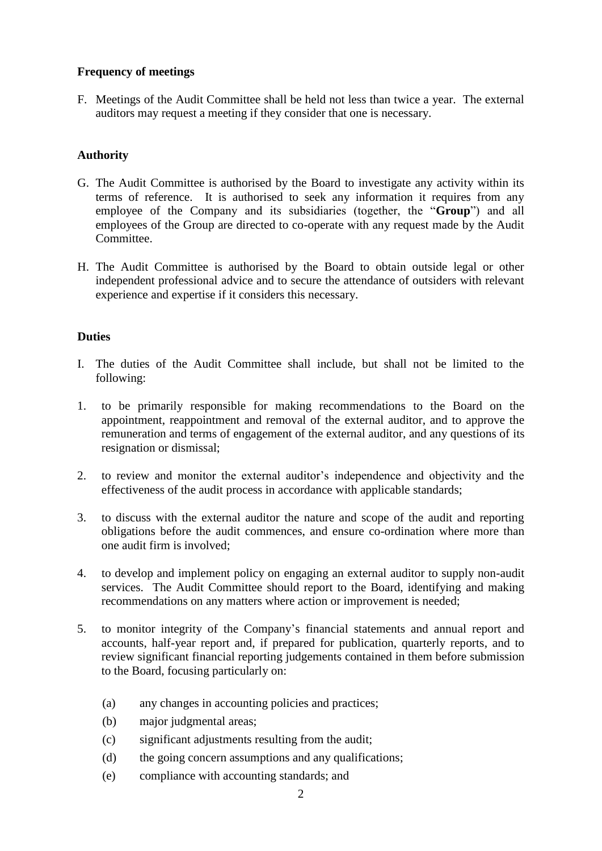## **Frequency of meetings**

F. Meetings of the Audit Committee shall be held not less than twice a year. The external auditors may request a meeting if they consider that one is necessary.

# **Authority**

- G. The Audit Committee is authorised by the Board to investigate any activity within its terms of reference. It is authorised to seek any information it requires from any employee of the Company and its subsidiaries (together, the "**Group**") and all employees of the Group are directed to co-operate with any request made by the Audit Committee.
- H. The Audit Committee is authorised by the Board to obtain outside legal or other independent professional advice and to secure the attendance of outsiders with relevant experience and expertise if it considers this necessary.

# **Duties**

- I. The duties of the Audit Committee shall include, but shall not be limited to the following:
- 1. to be primarily responsible for making recommendations to the Board on the appointment, reappointment and removal of the external auditor, and to approve the remuneration and terms of engagement of the external auditor, and any questions of its resignation or dismissal;
- 2. to review and monitor the external auditor's independence and objectivity and the effectiveness of the audit process in accordance with applicable standards;
- 3. to discuss with the external auditor the nature and scope of the audit and reporting obligations before the audit commences, and ensure co-ordination where more than one audit firm is involved;
- 4. to develop and implement policy on engaging an external auditor to supply non-audit services. The Audit Committee should report to the Board, identifying and making recommendations on any matters where action or improvement is needed;
- 5. to monitor integrity of the Company's financial statements and annual report and accounts, half-year report and, if prepared for publication, quarterly reports, and to review significant financial reporting judgements contained in them before submission to the Board, focusing particularly on:
	- (a) any changes in accounting policies and practices;
	- (b) major judgmental areas;
	- (c) significant adjustments resulting from the audit;
	- (d) the going concern assumptions and any qualifications;
	- (e) compliance with accounting standards; and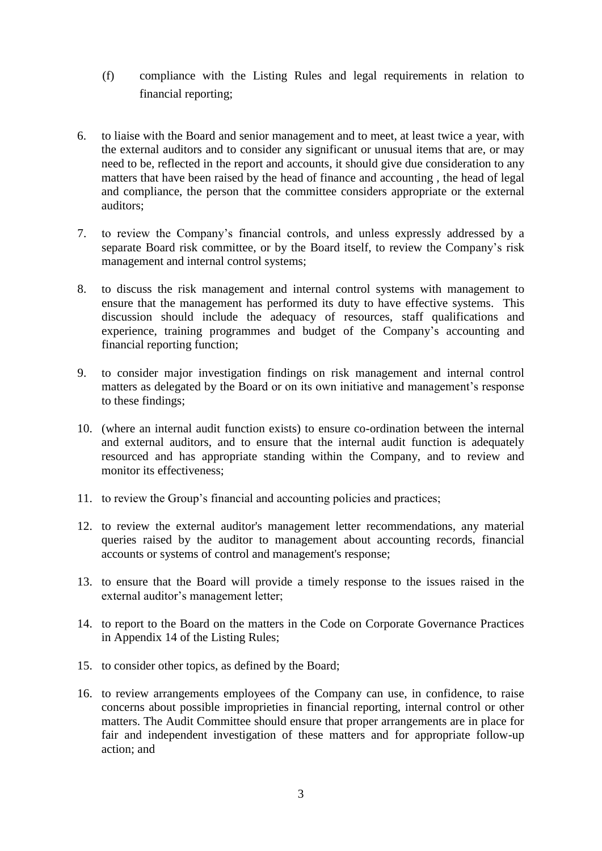- (f) compliance with the Listing Rules and legal requirements in relation to financial reporting;
- 6. to liaise with the Board and senior management and to meet, at least twice a year, with the external auditors and to consider any significant or unusual items that are, or may need to be, reflected in the report and accounts, it should give due consideration to any matters that have been raised by the head of finance and accounting , the head of legal and compliance, the person that the committee considers appropriate or the external auditors;
- 7. to review the Company's financial controls, and unless expressly addressed by a separate Board risk committee, or by the Board itself, to review the Company's risk management and internal control systems;
- 8. to discuss the risk management and internal control systems with management to ensure that the management has performed its duty to have effective systems. This discussion should include the adequacy of resources, staff qualifications and experience, training programmes and budget of the Company's accounting and financial reporting function;
- 9. to consider major investigation findings on risk management and internal control matters as delegated by the Board or on its own initiative and management's response to these findings;
- 10. (where an internal audit function exists) to ensure co-ordination between the internal and external auditors, and to ensure that the internal audit function is adequately resourced and has appropriate standing within the Company, and to review and monitor its effectiveness;
- 11. to review the Group's financial and accounting policies and practices;
- 12. to review the external auditor's management letter recommendations, any material queries raised by the auditor to management about accounting records, financial accounts or systems of control and management's response;
- 13. to ensure that the Board will provide a timely response to the issues raised in the external auditor's management letter;
- 14. to report to the Board on the matters in the Code on Corporate Governance Practices in Appendix 14 of the Listing Rules;
- 15. to consider other topics, as defined by the Board;
- 16. to review arrangements employees of the Company can use, in confidence, to raise concerns about possible improprieties in financial reporting, internal control or other matters. The Audit Committee should ensure that proper arrangements are in place for fair and independent investigation of these matters and for appropriate follow-up action; and